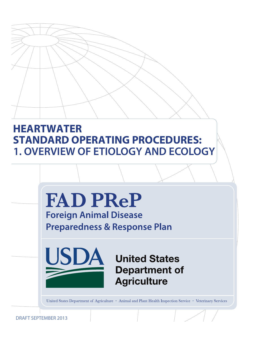# **HEARTWATER STANDARD OPERATING PROCEDURES: 1. OVERVIEW OF ETIOLOGY AND ECOLOGY**



DRAFT SEPTEMBER 2013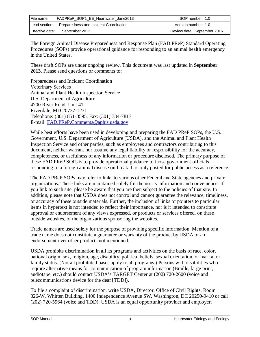| File name:      | FADPReP SOP1 EE Heartwater June2013    | SOP number: 1.0             |
|-----------------|----------------------------------------|-----------------------------|
| Lead section:   | Preparedness and Incident Coordination | Version number: 1.0         |
| Effective date: | September 2013                         | Review date: September 2016 |

The Foreign Animal Disease Preparedness and Response Plan (FAD PReP) Standard Operating Procedures (SOPs) provide operational guidance for responding to an animal health emergency in the United States.

These draft SOPs are under ongoing review. This document was last updated in **September 2013**. Please send questions or comments to:

Preparedness and Incident Coordination Veterinary Services Animal and Plant Health Inspection Service U.S. Department of Agriculture 4700 River Road, Unit 41 Riverdale, MD 20737-1231 Telephone: (301) 851-3595, Fax: (301) 734-7817 E-mail: [FAD.PReP.Comments@aphis.usda.gov](mailto:FAD.PReP.Comments@aphis.usda.gov) 

While best efforts have been used in developing and preparing the FAD PReP SOPs, the U.S. Government, U.S. Department of Agriculture (USDA), and the Animal and Plant Health Inspection Service and other parties, such as employees and contractors contributing to this document, neither warrant nor assume any legal liability or responsibility for the accuracy, completeness, or usefulness of any information or procedure disclosed. The primary purpose of these FAD PReP SOPs is to provide operational guidance to those government officials responding to a foreign animal disease outbreak. It is only posted for public access as a reference.

The FAD PReP SOPs may refer to links to various other Federal and State agencies and private organizations. These links are maintained solely for the user's information and convenience. If you link to such site, please be aware that you are then subject to the policies of that site. In addition, please note that USDA does not control and cannot guarantee the relevance, timeliness, or accuracy of these outside materials. Further, the inclusion of links or pointers to particular items in hypertext is not intended to reflect their importance, nor is it intended to constitute approval or endorsement of any views expressed, or products or services offered, on these outside websites, or the organizations sponsoring the websites.

Trade names are used solely for the purpose of providing specific information. Mention of a trade name does not constitute a guarantee or warranty of the product by USDA or an endorsement over other products not mentioned.

USDA prohibits discrimination in all its programs and activities on the basis of race, color, national origin, sex, religion, age, disability, political beliefs, sexual orientation, or marital or family status. (Not all prohibited bases apply to all programs.) Persons with disabilities who require alternative means for communication of program information (Braille, large print, audiotape, etc.) should contact USDA's TARGET Center at (202) 720-2600 (voice and telecommunications device for the deaf [TDD]).

To file a complaint of discrimination, write USDA, Director, Office of Civil Rights, Room 326-W, Whitten Building, 1400 Independence Avenue SW, Washington, DC 20250-9410 or call (202) 720-5964 (voice and TDD). USDA is an equal opportunity provider and employer.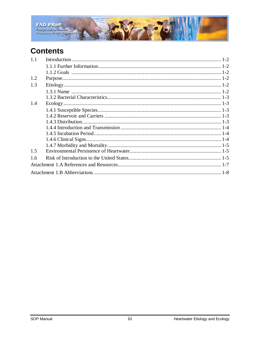

# **Contents**

| 1.1 |  |
|-----|--|
|     |  |
|     |  |
| 1.2 |  |
| 1.3 |  |
|     |  |
|     |  |
| 1.4 |  |
|     |  |
|     |  |
|     |  |
|     |  |
|     |  |
|     |  |
|     |  |
| 1.5 |  |
| 1.6 |  |
|     |  |
|     |  |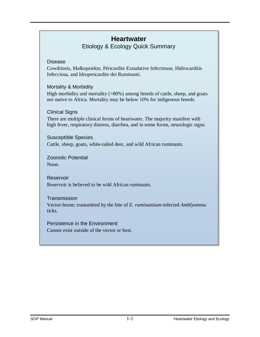# **Heartwater**

Etiology & Ecology Quick Summary

#### Disease

Cowdriosis, Malkopsiekte, Péricardite Exsudative Infectieuse, Hidrocarditis Infecciosa, and Idropericardite dei Ruminanti.

#### Mortality & Morbidity

High morbidity and mortality (>80%) among breeds of cattle, sheep, and goats not native to Africa. Mortality may be below 10% for indigenous breeds.

#### Clinical Signs

There are multiple clinical forms of heartwater. The majority manifest with high fever, respiratory distress, diarrhea, and in some forms, neurologic signs.

#### Susceptible Species Cattle, sheep, goats, white-tailed deer, and wild African ruminants.

Zoonotic Potential None.

#### Reservoir Reservoir is believed to be wild African ruminants.

#### **Transmission**

Vector-borne; transmitted by the bite of *E. ruminantium-*infected *Amblyomma*  ticks.

#### Persistence in the Environment Cannot exist outside of the vector or host.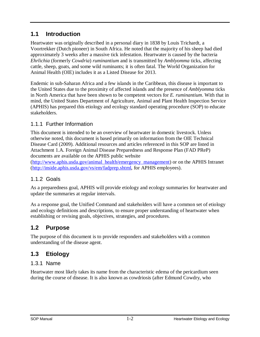## <span id="page-4-0"></span>**1.1 Introduction**

Heartwater was originally described in a personal diary in 1838 by Louis Trichardt, a Voortrekker (Dutch pioneer) in South Africa. He noted that the majority of his sheep had died approximately 3 weeks after a massive tick infestation. Heartwater is caused by the bacteria *Ehrlichia* (formerly *Cowdria*) *ruminantium* and is transmitted by *Amblyomma* ticks, affecting cattle, sheep, goats, and some wild ruminants; it is often fatal. The World Organization for Animal Health (OIE) includes it as a Listed Disease for 2013.

Endemic in sub-Saharan Africa and a few islands in the Caribbean, this disease is important to the United States due to the proximity of affected islands and the presence of *Amblyomma* ticks in North America that have been shown to be competent vectors for *E. ruminantium*. With that in mind, the United States Department of Agriculture, Animal and Plant Health Inspection Service (APHIS) has prepared this etiology and ecology standard operating procedure (SOP) to educate stakeholders.

## <span id="page-4-1"></span>1.1.1 Further Information

This document is intended to be an overview of heartwater in domestic livestock. Unless otherwise noted, this document is based primarily on information from the OIE Technical Disease Card (2009). Additional resources and articles referenced in this SOP are listed in Attachment 1.A. Foreign Animal Disease Preparedness and Response Plan (FAD PReP) [documents are available on the APHIS public website](http://www.aphis.usda.gov/animal_health/emergency_management/) 

[\(http://www.aphis.usda.gov/animal\\_health/emerge](http://inside.aphis.usda.gov/vs/em/fadprep.shtml)ncy\_management) or on the APHIS Intranet (http://inside.aphis.usda.gov/vs/em/fadprep.shtml, for APHIS employees).

## <span id="page-4-2"></span>1.1.2 Goals

As a preparedness goal, APHIS will provide etiology and ecology summaries for heartwater and update the summaries at regular intervals.

As a response goal, the Unified Command and stakeholders will have a common set of etiology and ecology definitions and descriptions, to ensure proper understanding of heartwater when establishing or revising goals, objectives, strategies, and procedures.

# <span id="page-4-3"></span>**1.2 Purpose**

The purpose of this document is to provide responders and stakeholders with a common understanding of the disease agent.

# <span id="page-4-5"></span><span id="page-4-4"></span>**1.3 Etiology**

## 1.3.1 Name

Heartwater most likely takes its name from the characteristic edema of the pericardium seen during the course of disease. It is also known as cowdriosis (after Edmund Cowdry, who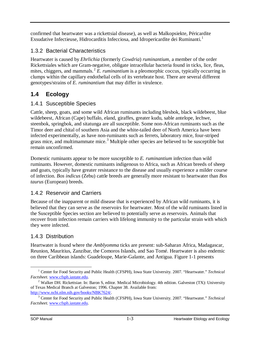confirmed that heartwater was a rickettsial disease), as well as Malkopsiekte, Péricardite Exsudative Infectieuse, Hidrocarditis Infecciosa, and Idropericardite dei Ruminanti.<sup>[1](#page-5-5)</sup>

# <span id="page-5-0"></span>1.3.2 Bacterial Characteristics

Heartwater is caused by *Ehrlichia* (formerly *Cowdria*) *ruminantium*, a member of the order Rickettsiales which are Gram-negative, obligate intracellular bacteria found in ticks, lice, fleas, mites, chiggers, and mammals.<sup>[2](#page-5-6)</sup> E. ruminantium is a pleomorphic coccus, typically occurring in clumps within the capillary endothelial cells of its vertebrate host. There are several different genotypes/strains of *E. ruminantium* that may differ in virulence.

# <span id="page-5-1"></span>**1.4 Ecology**

## <span id="page-5-2"></span>1.4.1 Susceptible Species

Cattle, sheep, goats, and some wild African ruminants including blesbok, black wildebeest, blue wildebeest, African (Cape) buffalo, eland, giraffes, greater kudu, sable antelope, lechwe, steenbok, springbok, and sitatunga are all susceptible. Some non-African ruminants such as the Timor deer and chital of southern Asia and the white-tailed deer of North America have been infected experimentally, as have non-ruminants such as ferrets, laboratory mice, four-striped grass mice, and multimammate mice.<sup>[3](#page-5-7)</sup> Multiple other species are believed to be susceptible but remain unconfirmed.

Domestic ruminants appear to be more susceptible to *E. ruminantium* infection than wild ruminants. However, domestic ruminants indigenous to Africa, such as African breeds of sheep and goats, typically have greater resistance to the disease and usually experience a milder course of infection. *Bos indicus* (Zebu) cattle breeds are generally more resistant to heartwater than *Bos taurus* (European) breeds.

## <span id="page-5-3"></span>1.4.2 Reservoir and Carriers

Because of the inapparent or mild disease that is experienced by African wild ruminants, it is believed that they can serve as the reservoirs for heartwater. Most of the wild ruminants listed in the Susceptible Species section are believed to potentially serve as reservoirs. Animals that recover from infection remain carriers with lifelong immunity to the particular strain with which they were infected.

## <span id="page-5-4"></span>1.4.3 Distribution

Heartwater is found where the *Amblyomma* ticks are present: sub-Saharan Africa, Madagascar, Reunion, Mauritius, Zanzibar, the Comoros Islands, and Sao Tomé. Heartwater is also endemic on three Caribbean islands: Guadeloupe, Marie-Galante, and Antigua. Figure 1-1 presents

<span id="page-5-5"></span><sup>&</sup>lt;sup>1</sup> Center for Food Security and Public Health (CFSPH), Iowa State University. 2007. "Heartwater." *Technical Factsheet.* www.cfsph.iastate.edu.  $\overline{a}$ 

<span id="page-5-6"></span><sup>&</sup>lt;sup>2</sup> Walker DH. Rickettsiae. In: Baron S, editor. Medical Microbiology. 4th edition. Galveston (TX): University of Texas Medical Branch at Galveston; 1996. Chapter 38. Available from: http://www.ncbi.nlm.nih.gov/books/NBK7624/.

<span id="page-5-7"></span><sup>&</sup>lt;sup>[3](http://www.ncbi.nlm.nih.gov/books/NBK7624/)</sup> Center for Food Security and Public Health (CFSPH), Iowa State University. 2007. "Heartwater." *Technical Factsheet*. [www.cfsph.iastate.edu.](http://www.cfsph.iastate.edu/)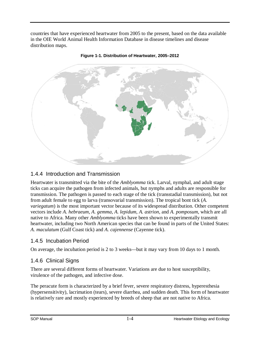countries that have experienced heartwater from 2005 to the present, based on the data available in the OIE World Animal Health Information Database in disease timelines and disease distribution maps.





## <span id="page-6-0"></span>1.4.4 Introduction and Transmission

Heartwater is transmitted via the bite of the *Amblyomma* tick. Larval, nymphal, and adult stage ticks can acquire the pathogen from infected animals, but nymphs and adults are responsible for transmission. The pathogen is passed to each stage of the tick (transstadial transmission), but not from adult female to egg to larva (transovarial transmission). The tropical bont tick (*A. variegatum*) is the most important vector because of its widespread distribution. Other competent vectors include *A. hebraeum*, *A. gemma*, *A. lepidum*, *A. astrion*, and *A. pomposum*, which are all native to Africa. Many other *Amblyomma* ticks have been shown to experimentally transmit heartwater, including two North American species that can be found in parts of the United States: *A. maculatum* (Gulf Coast tick) and *A. cajennense* (Cayenne tick).

## <span id="page-6-1"></span>1.4.5 Incubation Period

On average, the incubation period is 2 to 3 weeks—but it may vary from 10 days to 1 month.

#### <span id="page-6-2"></span>1.4.6 Clinical Signs

There are several different forms of heartwater. Variations are due to host susceptibility, virulence of the pathogen, and infective dose.

The peracute form is characterized by a brief fever, severe respiratory distress, hyperesthesia (hypersensitivity), lacrimation (tears), severe diarrhea, and sudden death. This form of heartwater is relatively rare and mostly experienced by breeds of sheep that are not native to Africa.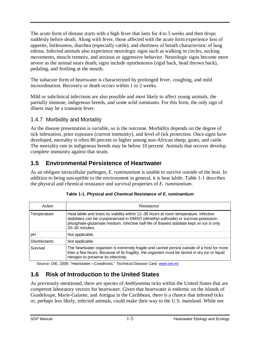The acute form of disease starts with a high fever that lasts for 4 to 5 weeks and then drops suddenly before death. Along with fever, those affected with the acute form experience loss of appetite, listlessness, diarrhea (especially cattle), and shortness of breath characteristic of lung edema. Infected animals also experience neurologic signs such as walking in circles, sucking movements, muscle tremors, and anxious or aggressive behavior. Neurologic signs become more severe as the animal nears death; signs include opisthotonos (rigid back, head thrown back), pedaling, and frothing at the mouth.

The subacute form of heartwater is characterized by prolonged fever, coughing, and mild incoordination. Recovery or death occurs within 1 to 2 weeks.

Mild or subclinical infections are also possible and most likely to affect young animals, the partially immune, indigenous breeds, and some wild ruminants. For this form, the only sign of illness may be a transient fever.

#### <span id="page-7-0"></span>1.4.7 Morbidity and Mortality

As the disease presentation is variable, so is the outcome. Morbidity depends on the degree of tick infestation, prior exposure (current immunity), and level of tick protection. Once signs have developed, mortality is often 80 percent or higher among non-African sheep, goats, and cattle. The mortality rate in indigenous breeds may be below 10 percent. Animals that recover develop complete immunity against that strain.

# <span id="page-7-1"></span>**1.5 Environmental Persistence of Heartwater**

As an obligate intracellular pathogen, *E. ruminantium* is unable to survive outside of the host. In addition to being susceptible to the environment in general, it is heat labile. Table 1-1 describes the physical and chemical resistance and survival properties of *E. ruminantium*.

| Action               | Resistance                                                                                                                                                                                                                                                                              |
|----------------------|-----------------------------------------------------------------------------------------------------------------------------------------------------------------------------------------------------------------------------------------------------------------------------------------|
| Temperature          | Heat labile and loses its viability within 12-38 hours at room temperature. Infective<br>stabilates can be cryopreserved in DMSO (dimethyl sulfoxide) or sucrose-potassium<br>phosphate-glutamate medium. Infective half-life of thawed stabilate kept on ice is only<br>20-30 minutes. |
| pH                   | Not applicable.                                                                                                                                                                                                                                                                         |
| <b>Disinfectants</b> | Not applicable.                                                                                                                                                                                                                                                                         |
| Survival             | The heartwater organism is extremely fragile and cannot persist outside of a host for more<br>than a few hours. Because of its fragility, the organism must be stored in dry ice or liquid<br>nitrogen to preserve its infectivity.                                                     |

Source: OIE, 2009. "Heartwater—Cowdriosis." *Technical Disease Card.* [www.oie.int.](http://www.oie.int/)

## <span id="page-7-2"></span>**1.6 Risk of Introduction to the United States**

As previously mentioned, there are species of *Amblyomma* ticks within the United States that are competent laboratory vectors for heartwater. Given that heartwater is endemic on the islands of Guadeloupe, Marie-Galante, and Antigua in the Caribbean, there is a chance that infested ticks or, perhaps less likely, infected animals, could make their way to the U.S. mainland. While not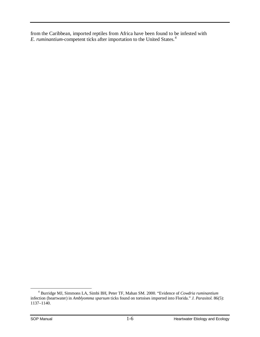from the Caribbean, imported reptiles from Africa have been found to be infested with *E. ruminantium-*competent ticks after importation to the United States. [4](#page-8-0)

<span id="page-8-0"></span><sup>4</sup> Burridge MJ, Simmons LA, Simbi BH, Peter TF, Mahan SM. 2000. "Evidence of *Cowdria ruminantium* infection (heartwater) in *Amblyomma sparsum* ticks found on tortoises imported into Florida." *J. Parasitol.* 86(5): 1137–1140.  $\overline{a}$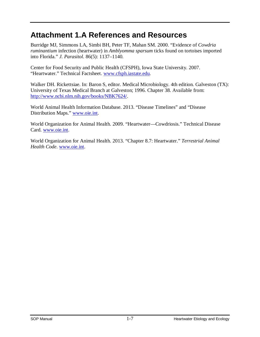# <span id="page-9-0"></span>**Attachment 1.A References and Resources**

Burridge MJ, Simmons LA, Simbi BH, Peter TF, Mahan SM. 2000. "Evidence of *Cowdria ruminantium* infection (heartwater) in *Amblyomma sparsum* ticks found on tortoises imported into Florida." *J. Parasitol.* 86(5): 1137–1140.

Center for Food Security and Public Health (CFSPH), Iowa State University. 2007. "Heartwater." Technical Factsheet. [www.cfsph.iastate.edu.](http://www.cfsph.iastate.edu/)

Walker DH. Rickettsiae. In: Baron S, editor. Medical Microbiology. 4th edition. Galveston (TX): University of Texas Medical Branch at Galveston; 1996. Chapter 38. Available from: [http://www.ncbi.nlm.nih.gov/books/NBK7624/.](http://www.ncbi.nlm.nih.gov/books/NBK7624/)

World Animal Health Information Database. 2013. "Disease Timelines" and "Disease Distribution Maps." [www.oie.int.](http://www.oie.int/)

World Organization for Animal Health. 2009. "Heartwater—Cowdriosis." Technical Disease Card. [www.oie.int.](http://www.oie.int/)

World Organization for Animal Health. 2013. "Chapter 8.7: Heartwater." *Terrestrial Animal Health Code*. [www.oie.int.](http://www.oie.int/)